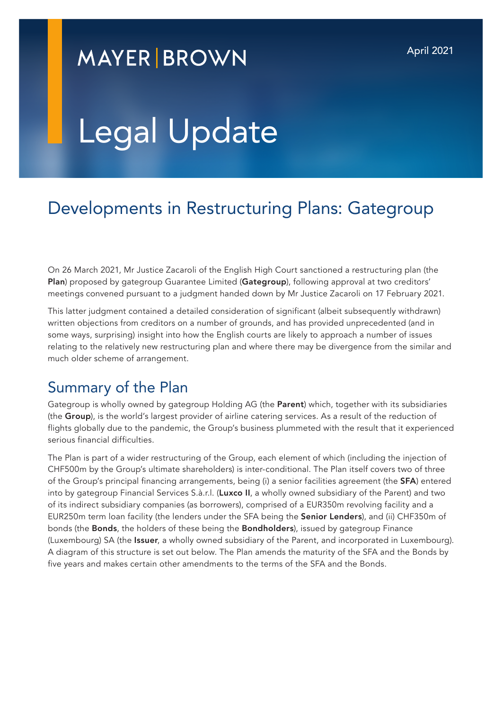## **MAYER BROWN**

# Legal Update

### Developments in Restructuring Plans: Gategroup

On 26 March 2021, Mr Justice Zacaroli of the English High Court sanctioned a restructuring plan (the Plan) proposed by gategroup Guarantee Limited (Gategroup), following approval at two creditors' meetings convened pursuant to a judgment handed down by Mr Justice Zacaroli on 17 February 2021.

This latter judgment contained a detailed consideration of significant (albeit subsequently withdrawn) written objections from creditors on a number of grounds, and has provided unprecedented (and in some ways, surprising) insight into how the English courts are likely to approach a number of issues relating to the relatively new restructuring plan and where there may be divergence from the similar and much older scheme of arrangement.

#### Summary of the Plan

Gategroup is wholly owned by gategroup Holding AG (the Parent) which, together with its subsidiaries (the Group), is the world's largest provider of airline catering services. As a result of the reduction of flights globally due to the pandemic, the Group's business plummeted with the result that it experienced serious financial difficulties.

The Plan is part of a wider restructuring of the Group, each element of which (including the injection of CHF500m by the Group's ultimate shareholders) is inter-conditional. The Plan itself covers two of three of the Group's principal financing arrangements, being (i) a senior facilities agreement (the SFA) entered into by gategroup Financial Services S.à.r.l. (Luxco II, a wholly owned subsidiary of the Parent) and two of its indirect subsidiary companies (as borrowers), comprised of a EUR350m revolving facility and a EUR250m term loan facility (the lenders under the SFA being the Senior Lenders), and (ii) CHF350m of bonds (the Bonds, the holders of these being the Bondholders), issued by gategroup Finance (Luxembourg) SA (the Issuer, a wholly owned subsidiary of the Parent, and incorporated in Luxembourg). A diagram of this structure is set out below. The Plan amends the maturity of the SFA and the Bonds by five years and makes certain other amendments to the terms of the SFA and the Bonds.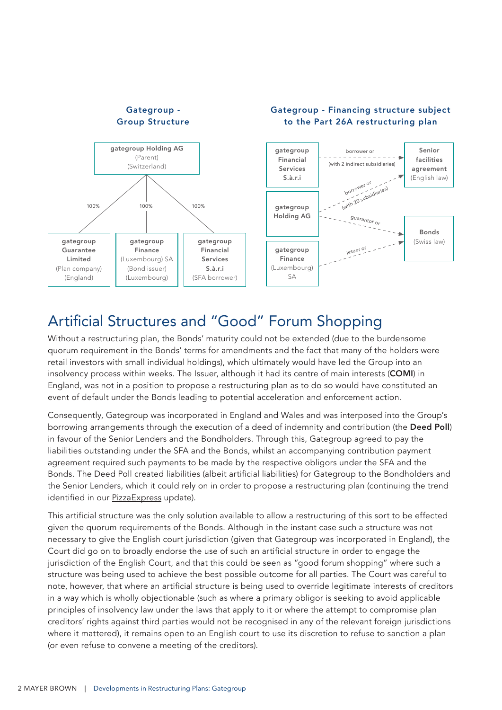

#### Artificial Structures and "Good" Forum Shopping

Without a restructuring plan, the Bonds' maturity could not be extended (due to the burdensome quorum requirement in the Bonds' terms for amendments and the fact that many of the holders were retail investors with small individual holdings), which ultimately would have led the Group into an insolvency process within weeks. The Issuer, although it had its centre of main interests (COMI) in England, was not in a position to propose a restructuring plan as to do so would have constituted an event of default under the Bonds leading to potential acceleration and enforcement action.

Consequently, Gategroup was incorporated in England and Wales and was interposed into the Group's borrowing arrangements through the execution of a deed of indemnity and contribution (the Deed Poll) in favour of the Senior Lenders and the Bondholders. Through this, Gategroup agreed to pay the liabilities outstanding under the SFA and the Bonds, whilst an accompanying contribution payment agreement required such payments to be made by the respective obligors under the SFA and the Bonds. The Deed Poll created liabilities (albeit artificial liabilities) for Gategroup to the Bondholders and the Senior Lenders, which it could rely on in order to propose a restructuring plan (continuing the trend identified in our [PizzaExpress](https://www.mayerbrown.com/-/media/files/perspectives-events/publications/2020/12/the-pizzaexpress-restructuring-plan_dec20.pdf) update).

This artificial structure was the only solution available to allow a restructuring of this sort to be effected given the quorum requirements of the Bonds. Although in the instant case such a structure was not necessary to give the English court jurisdiction (given that Gategroup was incorporated in England), the Court did go on to broadly endorse the use of such an artificial structure in order to engage the jurisdiction of the English Court, and that this could be seen as "good forum shopping" where such a structure was being used to achieve the best possible outcome for all parties. The Court was careful to note, however, that where an artificial structure is being used to override legitimate interests of creditors in a way which is wholly objectionable (such as where a primary obligor is seeking to avoid applicable principles of insolvency law under the laws that apply to it or where the attempt to compromise plan creditors' rights against third parties would not be recognised in any of the relevant foreign jurisdictions where it mattered), it remains open to an English court to use its discretion to refuse to sanction a plan (or even refuse to convene a meeting of the creditors).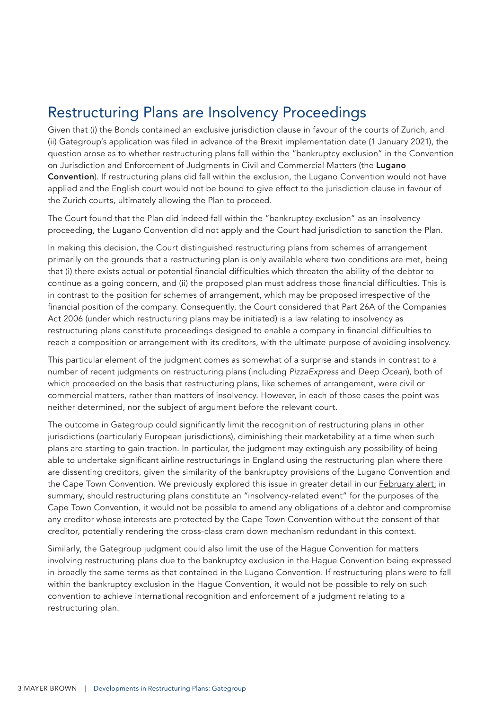#### Restructuring Plans are Insolvency Proceedings

Given that (i) the Bonds contained an exclusive jurisdiction clause in favour of the courts of Zurich, and (ii) Gategroup's application was filed in advance of the Brexit implementation date (1 January 2021), the question arose as to whether restructuring plans fall within the "bankruptcy exclusion" in the Convention on Jurisdiction and Enforcement of Judgments in Civil and Commercial Matters (the Lugano Convention). If restructuring plans did fall within the exclusion, the Lugano Convention would not have applied and the English court would not be bound to give effect to the jurisdiction clause in favour of the Zurich courts, ultimately allowing the Plan to proceed.

The Court found that the Plan did indeed fall within the "bankruptcy exclusion" as an insolvency proceeding, the Lugano Convention did not apply and the Court had jurisdiction to sanction the Plan.

In making this decision, the Court distinguished restructuring plans from schemes of arrangement primarily on the grounds that a restructuring plan is only available where two conditions are met, being that (i) there exists actual or potential financial difficulties which threaten the ability of the debtor to continue as a going concern, and (ii) the proposed plan must address those financial difficulties. This is in contrast to the position for schemes of arrangement, which may be proposed irrespective of the financial position of the company. Consequently, the Court considered that Part 26A of the Companies Act 2006 (under which restructuring plans may be initiated) is a law relating to insolvency as restructuring plans constitute proceedings designed to enable a company in financial difficulties to reach a composition or arrangement with its creditors, with the ultimate purpose of avoiding insolvency.

This particular element of the judgment comes as somewhat of a surprise and stands in contrast to a number of recent judgments on restructuring plans (including *PizzaExpress* and *Deep Ocean*), both of which proceeded on the basis that restructuring plans, like schemes of arrangement, were civil or commercial matters, rather than matters of insolvency. However, in each of those cases the point was neither determined, nor the subject of argument before the relevant court.

The outcome in Gategroup could significantly limit the recognition of restructuring plans in other jurisdictions (particularly European jurisdictions), diminishing their marketability at a time when such plans are starting to gain traction. In particular, the judgment may extinguish any possibility of being able to undertake significant airline restructurings in England using the restructuring plan where there are dissenting creditors, given the similarity of the bankruptcy provisions of the Lugano Convention and the Cape Town Convention. We previously explored this issue in greater detail in our **February alert**; in summary, should restructuring plans constitute an "insolvency-related event" for the purposes of the Cape Town Convention, it would not be possible to amend any obligations of a debtor and compromise any creditor whose interests are protected by the Cape Town Convention without the consent of that creditor, potentially rendering the cross-class cram down mechanism redundant in this context.

Similarly, the Gategroup judgment could also limit the use of the Hague Convention for matters involving restructuring plans due to the bankruptcy exclusion in the Hague Convention being expressed in broadly the same terms as that contained in the Lugano Convention. If restructuring plans were to fall within the bankruptcy exclusion in the Hague Convention, it would not be possible to rely on such convention to achieve international recognition and enforcement of a judgment relating to a restructuring plan.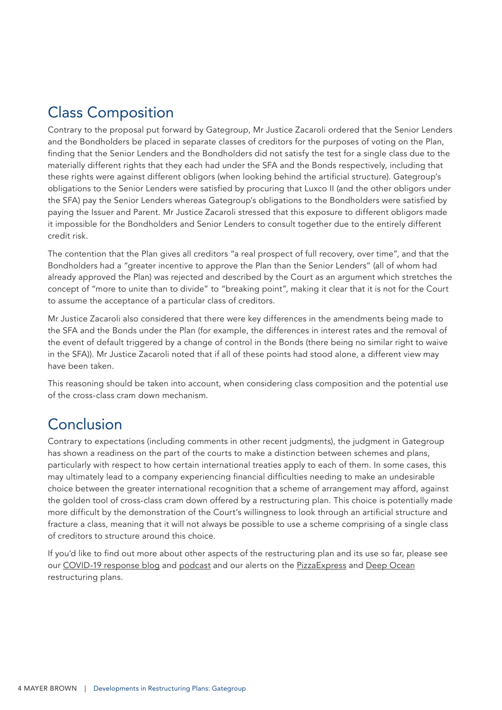#### Class Composition

Contrary to the proposal put forward by Gategroup, Mr Justice Zacaroli ordered that the Senior Lenders and the Bondholders be placed in separate classes of creditors for the purposes of voting on the Plan, finding that the Senior Lenders and the Bondholders did not satisfy the test for a single class due to the materially different rights that they each had under the SFA and the Bonds respectively, including that these rights were against different obligors (when looking behind the artificial structure). Gategroup's obligations to the Senior Lenders were satisfied by procuring that Luxco II (and the other obligors under the SFA) pay the Senior Lenders whereas Gategroup's obligations to the Bondholders were satisfied by paying the Issuer and Parent. Mr Justice Zacaroli stressed that this exposure to different obligors made it impossible for the Bondholders and Senior Lenders to consult together due to the entirely different credit risk.

The contention that the Plan gives all creditors "a real prospect of full recovery, over time", and that the Bondholders had a "greater incentive to approve the Plan than the Senior Lenders" (all of whom had already approved the Plan) was rejected and described by the Court as an argument which stretches the concept of "more to unite than to divide" to "breaking point", making it clear that it is not for the Court to assume the acceptance of a particular class of creditors.

Mr Justice Zacaroli also considered that there were key differences in the amendments being made to the SFA and the Bonds under the Plan (for example, the differences in interest rates and the removal of the event of default triggered by a change of control in the Bonds (there being no similar right to waive in the SFA)). Mr Justice Zacaroli noted that if all of these points had stood alone, a different view may have been taken.

This reasoning should be taken into account, when considering class composition and the potential use of the cross-class cram down mechanism.

#### Conclusion

Contrary to expectations (including comments in other recent judgments), the judgment in Gategroup has shown a readiness on the part of the courts to make a distinction between schemes and plans, particularly with respect to how certain international treaties apply to each of them. In some cases, this may ultimately lead to a company experiencing financial difficulties needing to make an undesirable choice between the greater international recognition that a scheme of arrangement may afford, against the golden tool of cross-class cram down offered by a restructuring plan. This choice is potentially made more difficult by the demonstration of the Court's willingness to look through an artificial structure and fracture a class, meaning that it will not always be possible to use a scheme comprising of a single class of creditors to structure around this choice.

If you'd like to find out more about other aspects of the restructuring plan and its use so far, please see our [COVID-19 response blog](https://www.covid19.law/2020/09/restructuring-plan-for-companies-in-financial-difficulty-under-the-corporate-insolvency-and-governance-act-2020/) and [podcast](https://www.mayerbrown.com/en/perspectives-events/podcasts/uk-restructuring-and-insolvency-law-reforms?pageSize=10&feed=4a1b5fd99aa44a78bf62a3b88761b716) and our alerts on the [PizzaExpress](https://www.mayerbrown.com/-/media/files/perspectives-events/publications/2020/12/the-pizzaexpress-restructuring-plan_dec20.pdf) and [Deep Ocean](https://www.mayerbrown.com/en/perspectives-events/publications/2021/02/deep-ocean-english-courts-consider-the-two-conditions-for-a-cross-class-cram-down) restructuring plans.